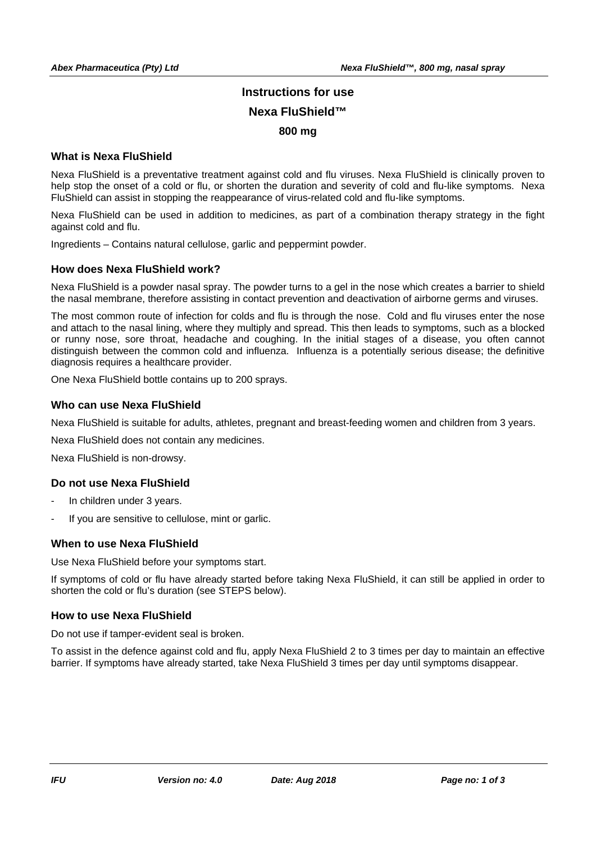# **Instructions for use Nexa FluShield™ 800 mg**

#### **What is Nexa FluShield**

Nexa FluShield is a preventative treatment against cold and flu viruses. Nexa FluShield is clinically proven to help stop the onset of a cold or flu, or shorten the duration and severity of cold and flu-like symptoms. Nexa FluShield can assist in stopping the reappearance of virus-related cold and flu-like symptoms.

Nexa FluShield can be used in addition to medicines, as part of a combination therapy strategy in the fight against cold and flu.

Ingredients – Contains natural cellulose, garlic and peppermint powder.

#### **How does Nexa FluShield work?**

Nexa FluShield is a powder nasal spray. The powder turns to a gel in the nose which creates a barrier to shield the nasal membrane, therefore assisting in contact prevention and deactivation of airborne germs and viruses.

The most common route of infection for colds and flu is through the nose. Cold and flu viruses enter the nose and attach to the nasal lining, where they multiply and spread. This then leads to symptoms, such as a blocked or runny nose, sore throat, headache and coughing. In the initial stages of a disease, you often cannot distinguish between the common cold and influenza. Influenza is a potentially serious disease; the definitive diagnosis requires a healthcare provider.

One Nexa FluShield bottle contains up to 200 sprays.

#### **Who can use Nexa FluShield**

Nexa FluShield is suitable for adults, athletes, pregnant and breast-feeding women and children from 3 years.

Nexa FluShield does not contain any medicines.

Nexa FluShield is non-drowsy.

# **Do not use Nexa FluShield**

- In children under 3 years.
- If you are sensitive to cellulose, mint or garlic.

#### **When to use Nexa FluShield**

Use Nexa FluShield before your symptoms start.

If symptoms of cold or flu have already started before taking Nexa FluShield, it can still be applied in order to shorten the cold or flu's duration (see STEPS below).

# **How to use Nexa FluShield**

Do not use if tamper-evident seal is broken.

To assist in the defence against cold and flu, apply Nexa FluShield 2 to 3 times per day to maintain an effective barrier. If symptoms have already started, take Nexa FluShield 3 times per day until symptoms disappear.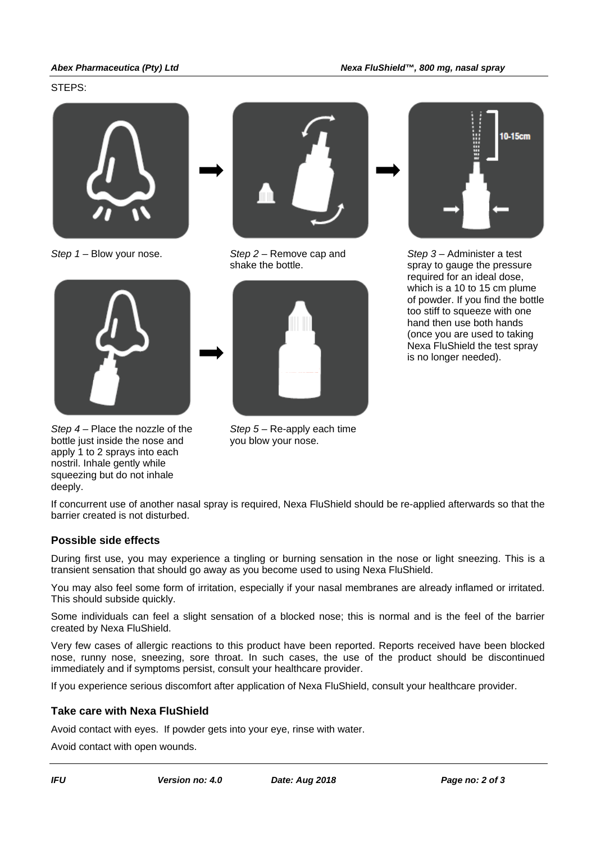#### STEPS:





*Step 4* – Place the nozzle of the bottle just inside the nose and apply 1 to 2 sprays into each nostril. Inhale gently while squeezing but do not inhale deeply.



*Step 1* – Blow your nose. *Step 2* – Remove cap and shake the bottle.



*Step 5* – Re-apply each time you blow your nose.



*Step 3* – Administer a test spray to gauge the pressure required for an ideal dose, which is a 10 to 15 cm plume of powder. If you find the bottle too stiff to squeeze with one hand then use both hands (once you are used to taking Nexa FluShield the test spray is no longer needed).

If concurrent use of another nasal spray is required, Nexa FluShield should be re-applied afterwards so that the barrier created is not disturbed.

# **Possible side effects**

During first use, you may experience a tingling or burning sensation in the nose or light sneezing. This is a transient sensation that should go away as you become used to using Nexa FluShield.

You may also feel some form of irritation, especially if your nasal membranes are already inflamed or irritated. This should subside quickly.

Some individuals can feel a slight sensation of a blocked nose; this is normal and is the feel of the barrier created by Nexa FluShield.

Very few cases of allergic reactions to this product have been reported. Reports received have been blocked nose, runny nose, sneezing, sore throat. In such cases, the use of the product should be discontinued immediately and if symptoms persist, consult your healthcare provider.

If you experience serious discomfort after application of Nexa FluShield, consult your healthcare provider.

# **Take care with Nexa FluShield**

Avoid contact with eyes. If powder gets into your eye, rinse with water.

Avoid contact with open wounds.